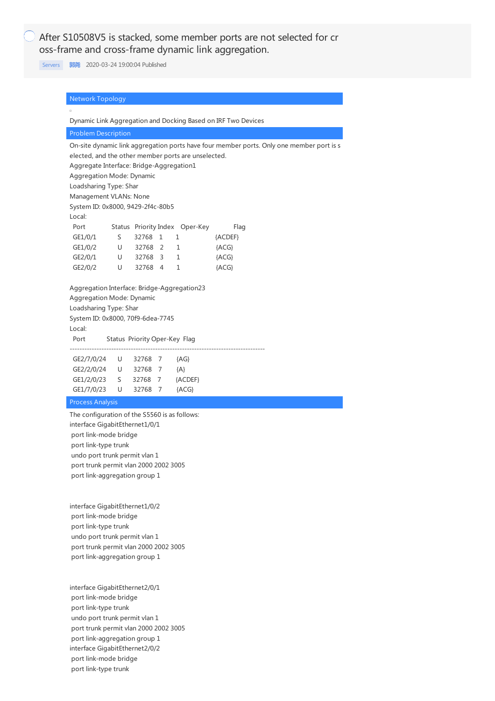After S10508V5 is stacked, some member ports are not selected for cr oss-frame and cross-frame dynamic link aggregation.

[Servers](https://knowledge.h3c.com/questions/catesDis/1537) **[郭尧](https://knowledge.h3c.com/user/other/5)** 2020-03-24 19:00:04 Published

| <b>Network Topology</b>                             |   |                               |   |                                |                                                               |                                                                                          |
|-----------------------------------------------------|---|-------------------------------|---|--------------------------------|---------------------------------------------------------------|------------------------------------------------------------------------------------------|
|                                                     |   |                               |   |                                |                                                               |                                                                                          |
|                                                     |   |                               |   |                                | Dynamic Link Aggregation and Docking Based on IRF Two Devices |                                                                                          |
| <b>Problem Description</b>                          |   |                               |   |                                |                                                               |                                                                                          |
|                                                     |   |                               |   |                                |                                                               | On-site dynamic link aggregation ports have four member ports. Only one member port is s |
| elected, and the other member ports are unselected. |   |                               |   |                                |                                                               |                                                                                          |
| Aggregate Interface: Bridge-Aggregation1            |   |                               |   |                                |                                                               |                                                                                          |
| Aggregation Mode: Dynamic                           |   |                               |   |                                |                                                               |                                                                                          |
| Loadsharing Type: Shar                              |   |                               |   |                                |                                                               |                                                                                          |
| Management VLANs: None                              |   |                               |   |                                |                                                               |                                                                                          |
| System ID: 0x8000, 9429-2f4c-80b5                   |   |                               |   |                                |                                                               |                                                                                          |
| Local:                                              |   |                               |   |                                |                                                               |                                                                                          |
| Port                                                |   |                               |   | Status Priority Index Oper-Key | Flag                                                          |                                                                                          |
| GE1/0/1                                             | S | 32768                         | 1 | 1                              | {ACDEF}                                                       |                                                                                          |
| GE1/0/2                                             | U | 32768 2                       |   | 1                              | ${ACG}$                                                       |                                                                                          |
| GE2/0/1                                             | U | 32768 3                       |   | 1                              | ${ACG}$                                                       |                                                                                          |
| GE2/0/2                                             | U | 32768 4                       |   | 1                              | ${ACG}$                                                       |                                                                                          |
| Aggregation Interface: Bridge-Aggregation23         |   |                               |   |                                |                                                               |                                                                                          |
| Aggregation Mode: Dynamic                           |   |                               |   |                                |                                                               |                                                                                          |
| Loadsharing Type: Shar                              |   |                               |   |                                |                                                               |                                                                                          |
| System ID: 0x8000, 70f9-6dea-7745                   |   |                               |   |                                |                                                               |                                                                                          |
| Local:                                              |   |                               |   |                                |                                                               |                                                                                          |
| Port                                                |   | Status Priority Oper-Key Flag |   |                                |                                                               |                                                                                          |
| GE2/7/0/24 U                                        |   | 32768 7                       |   | ${AG}$                         |                                                               |                                                                                          |
| GE2/2/0/24 U                                        |   | 32768 7                       |   | ${A}$                          |                                                               |                                                                                          |
| GE1/2/0/23                                          | S | 32768 7                       |   | {ACDEF}                        |                                                               |                                                                                          |
| GE1/7/0/23                                          | U | 32768 7                       |   | ${ACG}$                        |                                                               |                                                                                          |

The configuration of the S5560 is as follows: interface GigabitEthernet1/0/1 port link-mode bridge port link-type trunk undo port trunk permit vlan 1 port trunk permit vlan 2000 2002 3005 port link-aggregation group 1

interface GigabitEthernet1/0/2 port link-mode bridge port link-type trunk undo port trunk permit vlan 1 port trunk permit vlan 2000 2002 3005 port link-aggregation group 1

interface GigabitEthernet2/0/1 port link-mode bridge port link-type trunk undo port trunk permit vlan 1 port trunk permit vlan 2000 2002 3005 port link-aggregation group 1 interface GigabitEthernet2/0/2 port link-mode bridge port link-type trunk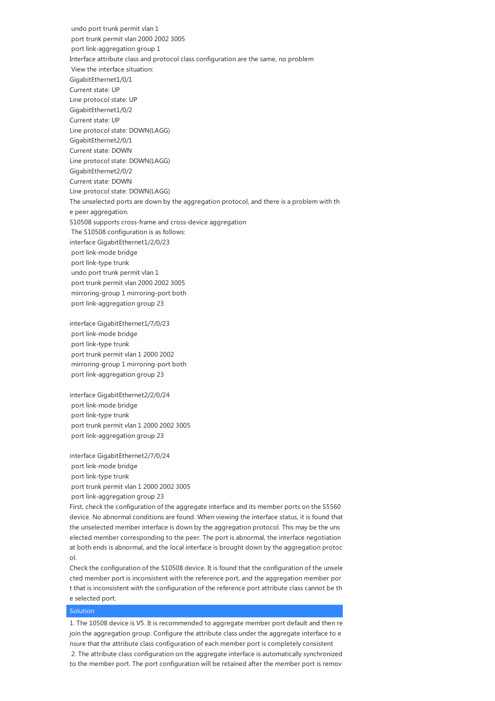undo port trunk permit vlan 1 port trunk permit vlan 2000 2002 3005 port link-aggregation group 1 Interface attribute class and protocol class configuration are the same, no problem View the interface situation: GigabitEthernet1/0/1 Current state: UP Line protocol state: UP GigabitEthernet1/0/2 Current state: UP Line protocol state: DOWN(LAGG) GigabitEthernet2/0/1 Current state: DOWN Line protocol state: DOWN(LAGG) GigabitEthernet2/0/2 Current state: DOWN Line protocol state: DOWN(LAGG) The unselected ports are down by the aggregation protocol, and there is a problem with th e peer aggregation. S10508 supports cross-frame and cross-device aggregation The S10508 configuration is as follows: interface GigabitEthernet1/2/0/23 port link-mode bridge port link-type trunk undo port trunk permit vlan 1 port trunk permit vlan 2000 2002 3005 mirroring-group 1 mirroring-port both port link-aggregation group 23

interface GigabitEthernet1/7/0/23 port link-mode bridge port link-type trunk port trunk permit vlan 1 2000 2002 mirroring-group 1 mirroring-port both port link-aggregation group 23

interface GigabitEthernet2/2/0/24 port link-mode bridge port link-type trunk port trunk permit vlan 1 2000 2002 3005 port link-aggregation group 23

interface GigabitEthernet2/7/0/24 port link-mode bridge port link-type trunk port trunk permit vlan 1 2000 2002 3005 port link-aggregation group 23

First, check the configuration of the aggregate interface and its member ports on the S5560 device. No abnormal conditions are found. When viewing the interface status, it is found that the unselected member interface is down by the aggregation protocol. This may be the uns elected member corresponding to the peer. The port is abnormal, the interface negotiation at both ends is abnormal, and the local interface is brought down by the aggregation protoc ol.

Check the configuration of the S10508 device. It is found that the configuration of the unsele cted member port is inconsistent with the reference port, and the aggregation member por t that is inconsistent with the configuration of the reference port attribute class cannot be th e selected port.

## **Solution**

1. The 10508 device is V5. It is recommended to aggregate member port default and then re join the aggregation group. Configure the attribute class under the aggregate interface to e nsure that the attribute class configuration of each member port is completely consistent 2. The attribute class configuration on the aggregate interface is automatically synchronized to the member port. The port configuration will be retained after the member port is remov